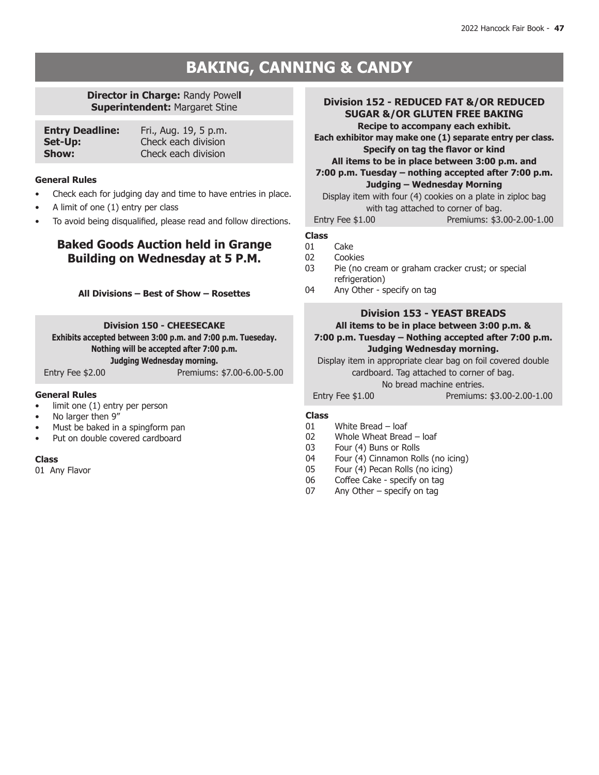# **BAKING, CANNING & CANDY**

# **Director in Charge:** Randy Powel**l Superintendent:** Margaret Stine

| <b>Entry Deadline:</b> | Fri., Aug. 19, 5 p.m. |
|------------------------|-----------------------|
| Set-Up:                | Check each division   |
| Show:                  | Check each division   |

### **General Rules**

- Check each for judging day and time to have entries in place.
- A limit of one  $(1)$  entry per class
- To avoid being disqualified, please read and follow directions.

# **Baked Goods Auction held in Grange Building on Wednesday at 5 P.M.**

**All Divisions – Best of Show – Rosettes**

**Division 150 - CHEESECAKE Exhibits accepted between 3:00 p.m. and 7:00 p.m. Tueseday. Nothing will be accepted after 7:00 p.m. Judging Wednesday morning.** Entry Fee \$2.00 Premiums: \$7.00-6.00-5.00

### **General Rules**

- $limit$  one  $(1)$  entry per person
- No larger then 9"
- Must be baked in a spingform pan
- Put on double covered cardboard

### **Class**

01 Any Flavor

| Division 152 - REDUCED FAT &/OR REDUCED<br><b>SUGAR &amp;/OR GLUTEN FREE BAKING</b><br>Recipe to accompany each exhibit.<br>Each exhibitor may make one (1) separate entry per class. |                                                      |  |
|---------------------------------------------------------------------------------------------------------------------------------------------------------------------------------------|------------------------------------------------------|--|
|                                                                                                                                                                                       |                                                      |  |
|                                                                                                                                                                                       | Specify on tag the flavor or kind                    |  |
|                                                                                                                                                                                       | All items to be in place between 3:00 p.m. and       |  |
|                                                                                                                                                                                       | 7:00 p.m. Tuesday - nothing accepted after 7:00 p.m. |  |
| Judging - Wednesday Morning                                                                                                                                                           |                                                      |  |
| Display item with four (4) cookies on a plate in ziploc bag                                                                                                                           |                                                      |  |
| with tag attached to corner of bag.                                                                                                                                                   |                                                      |  |
| Entry Fee $$1.00$                                                                                                                                                                     | Premiums: \$3.00-2.00-1.00                           |  |
|                                                                                                                                                                                       |                                                      |  |

# **Class**

- 01 Cake<br>02 Cooki
- 02 Cookies<br>03 Pie (no
- Pie (no cream or graham cracker crust; or special refrigeration)
- 04 Any Other specify on tag

# **Division 153 - YEAST BREADS**

**All items to be in place between 3:00 p.m. & 7:00 p.m. Tuesday – Nothing accepted after 7:00 p.m. Judging Wednesday morning.**

Display item in appropriate clear bag on foil covered double cardboard. Tag attached to corner of bag.

### No bread machine entries.

Entry Fee \$1.00 Premiums: \$3.00-2.00-1.00

- 01 White Bread loaf
- 02 Whole Wheat Bread loaf<br>03 Four (4) Buns or Rolls
- 03 Four (4) Buns or Rolls<br>04 Four (4) Cinnamon Rol
- Four (4) Cinnamon Rolls (no icing)
- 05 Four (4) Pecan Rolls (no icing)<br>06 Coffee Cake specify on tag
- Coffee Cake specify on tag
- 07 Any Other specify on tag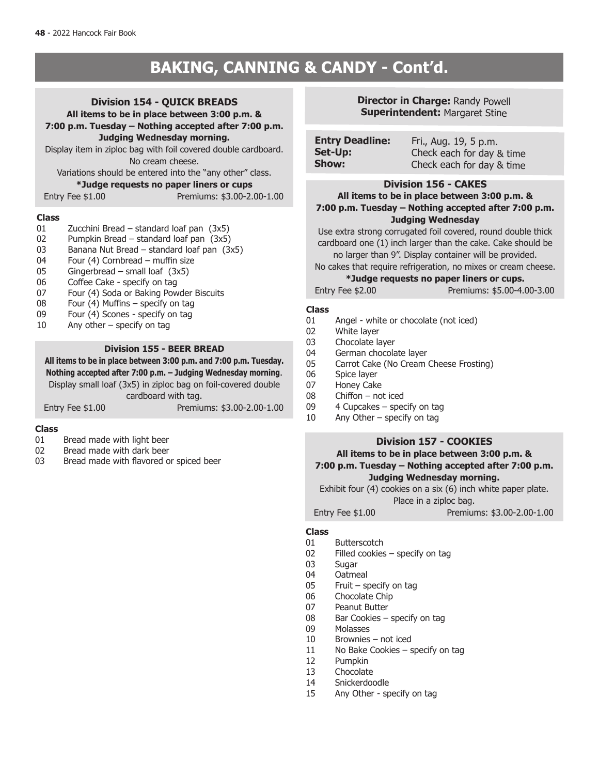# **BAKING, CANNING & CANDY - Cont'd.**

# **Division 154 - QUICK BREADS**

**All items to be in place between 3:00 p.m. & 7:00 p.m. Tuesday – Nothing accepted after 7:00 p.m. Judging Wednesday morning.**

Display item in ziploc bag with foil covered double cardboard. No cream cheese.

Variations should be entered into the "any other" class.

### **\*Judge requests no paper liners or cups**

Entry Fee \$1.00 Premiums: \$3.00-2.00-1.00

# **Class**

- Zucchini Bread standard loaf pan  $(3x5)$
- 02 Pumpkin Bread standard loaf pan (3x5)
- 03 Banana Nut Bread standard loaf pan (3x5)
- 04 Four (4) Cornbread muffin size
- 05 Gingerbread small loaf (3x5)
- 06 Coffee Cake specify on tag<br>07 Four (4) Soda or Baking Pow
- Four (4) Soda or Baking Powder Biscuits
- 08 Four  $(4)$  Muffins specify on tag
- 09 Four (4) Scones specify on tag<br>10 Any other specify on tag
- Any other  $-$  specify on tag

### **Division 155 - BEER BREAD**

**All items to be in place between 3:00 p.m. and 7:00 p.m. Tuesday. Nothing accepted after 7:00 p.m. – Judging Wednesday morning**. Display small loaf (3x5) in ziploc bag on foil-covered double cardboard with tag. Entry Fee \$1.00 Premiums: \$3.00-2.00-1.00

# **Class**

- Bread made with light beer
- 02 Bread made with dark beer
- 03 Bread made with flavored or spiced beer

# **Director in Charge:** Randy Powell **Superintendent: Margaret Stine**

| <b>Entry Deadline:</b> | Fri., Aug. 19, 5 p.m.     |
|------------------------|---------------------------|
| Set-Up:                | Check each for day & time |
| Show:                  | Check each for day & time |

### **Division 156 - CAKES**

**All items to be in place between 3:00 p.m. & 7:00 p.m. Tuesday – Nothing accepted after 7:00 p.m. Judging Wednesday**

Use extra strong corrugated foil covered, round double thick cardboard one (1) inch larger than the cake. Cake should be no larger than 9". Display container will be provided.

No cakes that require refrigeration, no mixes or cream cheese.

### **\*Judge requests no paper liners or cups.**

Entry Fee \$2.00 Premiums: \$5.00-4.00-3.00

### **Class**

- 01 Angel white or chocolate (not iced)
- 02 White layer
- 03 Chocolate layer
- 04 German chocolate layer
- 05 Carrot Cake (No Cream Cheese Frosting)
- 06 Spice layer
- 07 Honey Cake
- 08 Chiffon not iced
- 09 4 Cupcakes specify on tag
- 10 Any Other specify on tag

# **Division 157 - COOKIES**

### **All items to be in place between 3:00 p.m. & 7:00 p.m. Tuesday – Nothing accepted after 7:00 p.m. Judging Wednesday morning.**

Exhibit four (4) cookies on a six (6) inch white paper plate.

Place in a ziploc bag.

Entry Fee \$1.00 Premiums: \$3.00-2.00-1.00

- 
- 01 Butterscotch<br>02 Filled cookies 02 Filled cookies – specify on tag  $03$  Sugar
- 03 Sugar<br>04 Oatme
- 04 Oatmeal<br>05 Fruit sr
- Fruit specify on tag
- 06 Chocolate Chip
- 07 Peanut Butter<br>08 Bar Cookies –
- 08 Bar Cookies specify on tag<br>09 Molasses
- **Molasses**
- 10 Brownies not iced
- 11 No Bake Cookies specify on tag
- 12 Pumpkin<br>13 Chocolate
- 13 Chocolate<br>14 Spickerdog
- 14 Snickerdoodle<br>15 Any Other sn
- Any Other specify on tag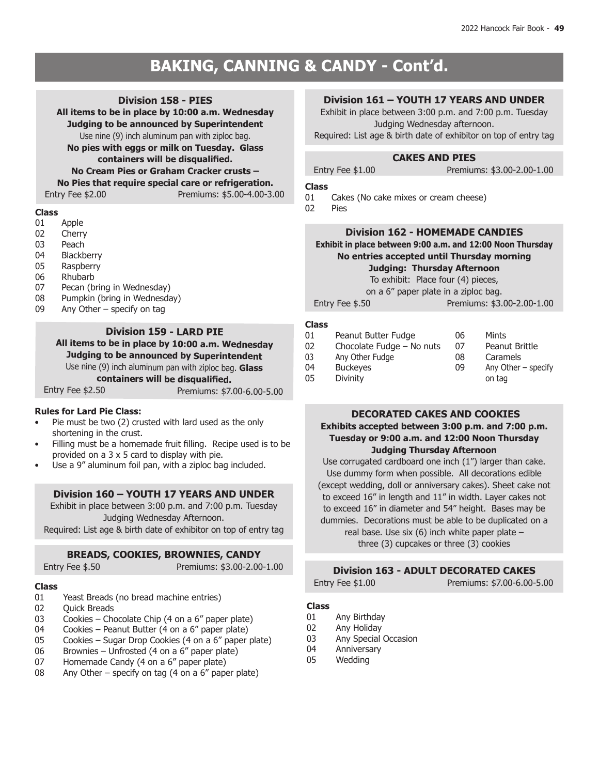# **BAKING, CANNING & CANDY BAKING, CANNING & CANDY - Cont'd.**

### **Division 158 - PIES**

**All items to be in place by 10:00 a.m. Wednesday Judging to be announced by Superintendent**

Use nine (9) inch aluminum pan with ziploc bag.

**No pies with eggs or milk on Tuesday. Glass** 

**containers will be disqualified.**

# **No Cream Pies or Graham Cracker crusts –**

**No Pies that require special care or refrigeration.**

Entry Fee \$2.00 Premiums: \$5.00-4.00-3.00

# **Class**

- Apple
- 02 Cherry
- 03 Peach
- 04 Blackberry
- 05 Raspberry
- 06 Rhubarb<br>07 Pecan (b
- Pecan (bring in Wednesday)
- 08 Pumpkin (bring in Wednesday)
- 09 Any Other specify on tag

# **Division 159 - LARD PIE**

**All items to be in place by 10:00 a.m. Wednesday Judging to be announced by Superintendent** Use nine (9) inch aluminum pan with ziploc bag. **Glass containers will be disqualified.**

Entry Fee \$2.50 Premiums: \$7.00-6.00-5.00

### **Rules for Lard Pie Class:**

- Pie must be two (2) crusted with lard used as the only shortening in the crust.
- Filling must be a homemade fruit filling. Recipe used is to be provided on a 3 x 5 card to display with pie.
- Use a 9" aluminum foil pan, with a ziploc bag included.

### **Division 160 – YOUTH 17 YEARS AND UNDER**

Exhibit in place between 3:00 p.m. and 7:00 p.m. Tuesday Judging Wednesday Afternoon.

Required: List age & birth date of exhibitor on top of entry tag

# **BREADS, COOKIES, BROWNIES, CANDY**

Entry Fee \$.50 **Premiums: \$3.00-2.00-1.00** 

# **Class**

- 01 Yeast Breads (no bread machine entries)<br>02 Ouick Breads
- **Ouick Breads**
- 03 Cookies Chocolate Chip (4 on a 6" paper plate)<br>04 Cookies Peanut Butter (4 on a 6" paper plate)
- Cookies Peanut Butter (4 on a  $6''$  paper plate)
- 05 Cookies Sugar Drop Cookies (4 on a 6" paper plate)
- 06 Brownies Unfrosted (4 on a 6" paper plate)<br>07 Homemade Candy (4 on a 6" paper plate)
- 07 Homemade Candy  $(4 \text{ on a } 6^n \text{ paper plate})$ <br>08 Any Other specify on tag  $(4 \text{ on a } 6^n \text{ pane})$
- Any Other specify on tag (4 on a  $6''$  paper plate)

# **Division 161 – YOUTH 17 YEARS AND UNDER**

Exhibit in place between 3:00 p.m. and 7:00 p.m. Tuesday Judging Wednesday afternoon. Required: List age & birth date of exhibitor on top of entry tag

## **CAKES AND PIES**

Entry Fee \$1.00 Premiums: \$3.00-2.00-1.00

### **Class**

01 Cakes (No cake mixes or cream cheese)<br>02 Pies

 $Piac$ 

### **Division 162 - HOMEMADE CANDIES**

**Exhibit in place between 9:00 a.m. and 12:00 Noon Thursday No entries accepted until Thursday morning Judging: Thursday Afternoon**

To exhibit: Place four (4) pieces,

on a 6" paper plate in a ziploc bag.

Entry Fee \$.50 **Premiums: \$3.00-2.00-1.00** 

### **Class**

| 01 | Peanut Butter Fudge       | 06 | Mints                 |
|----|---------------------------|----|-----------------------|
| 02 | Chocolate Fudge - No nuts | 07 | Peanut Brittle        |
| 03 | Any Other Fudge           | 08 | Caramels              |
| 04 | <b>Buckeyes</b>           | 09 | Any Other $-$ specify |
| 05 | <b>Divinity</b>           |    | on tag                |

# **DECORATED CAKES AND COOKIES**

# **Exhibits accepted between 3:00 p.m. and 7:00 p.m. Tuesday or 9:00 a.m. and 12:00 Noon Thursday Judging Thursday Afternoon**

Use corrugated cardboard one inch (1") larger than cake. Use dummy form when possible. All decorations edible (except wedding, doll or anniversary cakes). Sheet cake not to exceed 16" in length and 11" in width. Layer cakes not to exceed 16" in diameter and 54" height. Bases may be dummies. Decorations must be able to be duplicated on a real base. Use six (6) inch white paper plate – three (3) cupcakes or three (3) cookies

### **Division 163 - ADULT DECORATED CAKES**

## Entry Fee \$1.00 Premiums: \$7.00-6.00-5.00

- 01 Any Birthday
- 02 Any Holiday<br>03 Any Special
- Any Special Occasion
- 04 Anniversary
- 05 Wedding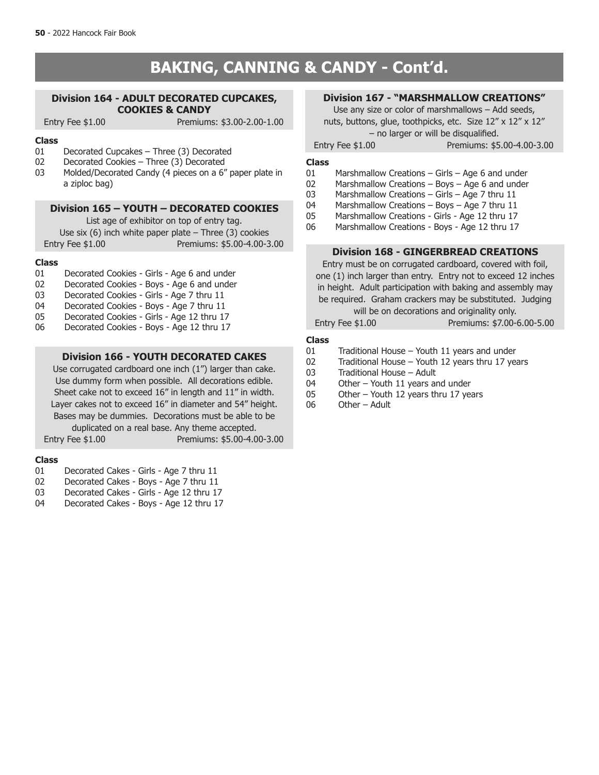# **BAKING, CANNING & CANDY - Cont'd.**

### **Division 164 - ADULT DECORATED CUPCAKES, COOKIES & CANDY**

Entry Fee \$1.00 Premiums: \$3.00-2.00-1.00

### **Class**

- 01 Decorated Cupcakes Three (3) Decorated<br>02 Decorated Cookies Three (3) Decorated
- Decorated Cookies Three (3) Decorated
- 03 Molded/Decorated Candy (4 pieces on a 6" paper plate in a ziploc bag)

### **Division 165 – YOUTH – DECORATED COOKIES**

List age of exhibitor on top of entry tag.

Use six  $(6)$  inch white paper plate – Three  $(3)$  cookies Entry Fee \$1.00 Premiums: \$5.00-4.00-3.00

### **Class**

- 01 Decorated Cookies Girls Age 6 and under
- 02 Decorated Cookies Boys Age 6 and under<br>03 Decorated Cookies Girls Age 7 thru 11
- 03 Decorated Cookies Girls Age 7 thru 11<br>04 Decorated Cookies Boys Age 7 thru 11
- 04 Decorated Cookies Boys Age 7 thru 11<br>05 Decorated Cookies Girls Age 12 thru 17
- 05 Decorated Cookies Girls Age 12 thru 17<br>06 Decorated Cookies Boys Age 12 thru 17
- Decorated Cookies Boys Age 12 thru 17

### **Division 166 - YOUTH DECORATED CAKES**

Use corrugated cardboard one inch (1") larger than cake. Use dummy form when possible. All decorations edible. Sheet cake not to exceed 16" in length and 11" in width. Layer cakes not to exceed 16" in diameter and 54" height. Bases may be dummies. Decorations must be able to be duplicated on a real base. Any theme accepted.

Entry Fee \$1.00 Premiums: \$5.00-4.00-3.00

### **Class**

- 01 Decorated Cakes Girls Age 7 thru 11
- 02 Decorated Cakes Boys Age 7 thru 11<br>03 Decorated Cakes Girls Age 12 thru 17
- Decorated Cakes Girls Age 12 thru 17
- 04 Decorated Cakes Boys Age 12 thru 17

# **Division 167 - "MARSHMALLOW CREATIONS"**

Use any size or color of marshmallows – Add seeds, nuts, buttons, glue, toothpicks, etc. Size 12" x 12" x 12" – no larger or will be disqualified.

Entry Fee \$1.00 Premiums: \$5.00-4.00-3.00

### **Class**

- 01 Marshmallow Creations Girls Age 6 and under
- 02 Marshmallow Creations Boys Age 6 and under<br>03 Marshmallow Creations Girls Age 7 thru 11
- 03 Marshmallow Creations Girls Age 7 thru 11<br>04 Marshmallow Creations Boys Age 7 thru 11
- Marshmallow Creations Boys Age 7 thru  $11$
- 05 Marshmallow Creations Girls Age 12 thru 17
- 06 Marshmallow Creations Boys Age 12 thru 17

### **Division 168 - GINGERBREAD CREATIONS**

Entry must be on corrugated cardboard, covered with foil, one (1) inch larger than entry. Entry not to exceed 12 inches in height. Adult participation with baking and assembly may be required. Graham crackers may be substituted. Judging will be on decorations and originality only.

Entry Fee \$1.00 Premiums: \$7.00-6.00-5.00

- 01 Traditional House Youth 11 years and under<br>02 Traditional House Youth 12 years thru 17 yea
- Traditional House Youth 12 years thru 17 years
- 03 Traditional House Adult<br>04 Other Youth 11 years an
- 04 Other Youth 11 years and under<br>05 Other Youth 12 years thru 17 year
- Other Youth 12 years thru 17 years
- 06 Other Adult